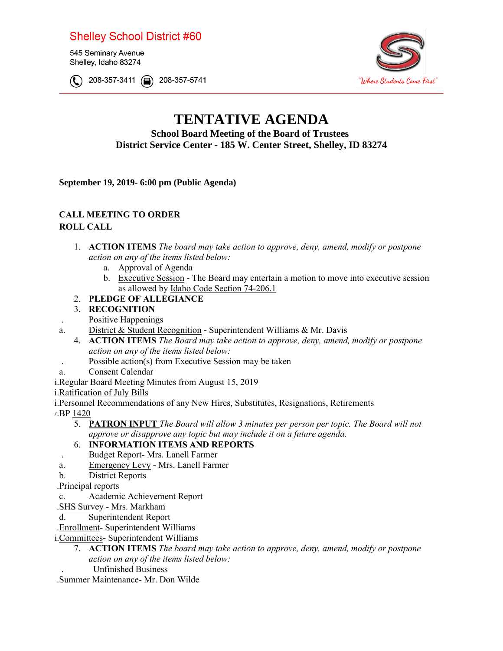## **Shelley School District #60**

545 Seminary Avenue Shelley, Idaho 83274

© 208-357-3411 @ 208-357-57 41



# **TENTATIVE AGENDA**

**School Board Meeting of the Board of Trustees District Service Center - 185 W. Center Street, Shelley, ID 83274** 

**September 19, 2019- 6:00 pm (Public Agenda)** 

### **CALL MEETING TO ORDER**

#### **ROLL CALL**

- 1. **ACTION ITEMS** *The board may take action to approve, deny, amend, modify or postpone action on any of the items listed below:*
	- a. Approval of Agenda
	- b. Executive Session The Board may entertain a motion to move into executive session as allowed by Idaho Code Section 74-206.1
- 2. **PLEDGE OF ALLEGIANCE**
- 3. **RECOGNITION**
- . Positive Happenings
- a. District & Student Recognition Superintendent Williams & Mr. Davis
	- 4. **ACTION ITEMS** *The Board may take action to approve, deny, amend, modify or postpone action on any of the items listed below:*
- . Possible action(s) from Executive Session may be taken
- a. Consent Calendar
- i.Regular Board Meeting Minutes from August 15, 2019
- i.Ratification of July Bills
- i.Personnel Recommendations of any New Hires, Substitutes, Resignations, Retirements
- v.BP [1420](https://docs.google.com/document/d/1zHwvaR9J_qRSvVPzb9wy44IBQqWNZ4j4YA41zxAZTLE/edit?usp=sharing)
	- *approve or disapprove any topic but may include it on a future agenda.* 5. **PATRON INPUT** *The Board will allow 3 minutes per person per topic. The Board will not*

#### 6. **INFORMATION ITEMS AND REPORTS**

- . Budget Report- Mrs. Lanell Farmer
- a. Emergency Levy Mrs. Lanell Farmer
- b. District Reports
- .Principal reports
- c. Academic Achievement Report
- .SHS Survey Mrs. Markham
- d. Superintendent Report
- .Enrollment- Superintendent Williams
- i.Committees- Superintendent Williams
	- 7. **ACTION ITEMS** *The board may take action to approve, deny, amend, modify or postpone action on any of the items listed below:* . Unfinished Business
- .Summer Maintenance- Mr. Don Wilde